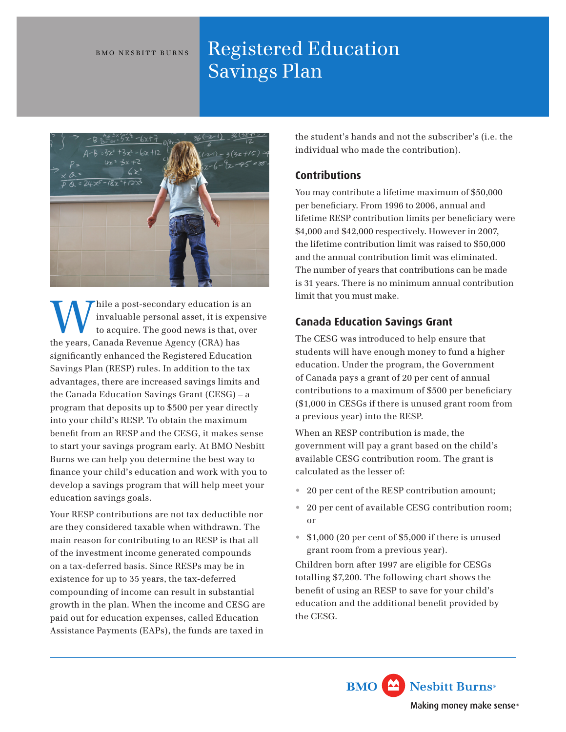#### BMO NESBITT BURNS

# Registered Education Savings Plan



While a post-secondary education is an invaluable personal asset, it is expensive to acquire. The good news is that, over invaluable personal asset, it is expensive the years, Canada Revenue Agency (CRA) has significantly enhanced the Registered Education Savings Plan (RESP) rules. In addition to the tax advantages, there are increased savings limits and the Canada Education Savings Grant (CESG) – a program that deposits up to \$500 per year directly into your child's RESP. To obtain the maximum benefit from an RESP and the CESG, it makes sense to start your savings program early. At BMO Nesbitt Burns we can help you determine the best way to finance your child's education and work with you to develop a savings program that will help meet your education savings goals.

Your RESP contributions are not tax deductible nor are they considered taxable when withdrawn. The main reason for contributing to an RESP is that all of the investment income generated compounds on a tax-deferred basis. Since RESPs may be in existence for up to 35 years, the tax-deferred compounding of income can result in substantial growth in the plan. When the income and CESG are paid out for education expenses, called Education Assistance Payments (EAPs), the funds are taxed in

the student's hands and not the subscriber's (i.e. the individual who made the contribution).

## **Contributions**

You may contribute a lifetime maximum of \$50,000 per beneficiary. From 1996 to 2006, annual and lifetime RESP contribution limits per beneficiary were \$4,000 and \$42,000 respectively. However in 2007, the lifetime contribution limit was raised to \$50,000 and the annual contribution limit was eliminated. The number of years that contributions can be made is 31 years. There is no minimum annual contribution limit that you must make.

# **Canada Education Savings Grant**

The CESG was introduced to help ensure that students will have enough money to fund a higher education. Under the program, the Government of Canada pays a grant of 20 per cent of annual contributions to a maximum of \$500 per beneficiary (\$1,000 in CESGs if there is unused grant room from a previous year) into the RESP.

When an RESP contribution is made, the government will pay a grant based on the child's available CESG contribution room. The grant is calculated as the lesser of:

- 20 per cent of the RESP contribution amount;
- 20 per cent of available CESG contribution room; or
- \$1,000 (20 per cent of \$5,000 if there is unused grant room from a previous year).

Children born after 1997 are eligible for CESGs totalling \$7,200. The following chart shows the benefit of using an RESP to save for your child's education and the additional benefit provided by the CESG.

> **BMO** Nesbitt Burns<sup>®</sup> Making money make sense®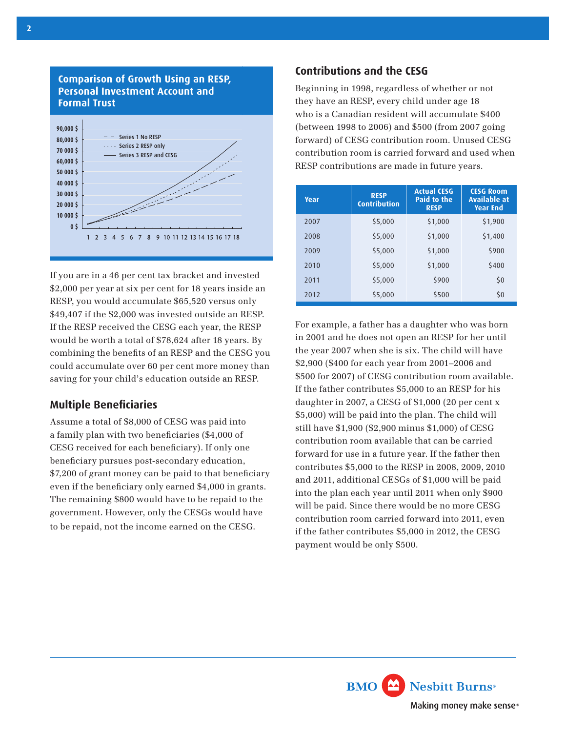

**Comparison of Growth Using an RESP,** 

If you are in a 46 per cent tax bracket and invested \$2,000 per year at six per cent for 18 years inside an RESP, you would accumulate \$65,520 versus only \$49,407 if the \$2,000 was invested outside an RESP. If the RESP received the CESG each year, the RESP would be worth a total of \$78,624 after 18 years. By combining the benefits of an RESP and the CESG you could accumulate over 60 per cent more money than saving for your child's education outside an RESP.

## **Multiple Beneficiaries**

Assume a total of \$8,000 of CESG was paid into a family plan with two beneficiaries (\$4,000 of CESG received for each beneficiary). If only one beneficiary pursues post-secondary education, \$7,200 of grant money can be paid to that beneficiary even if the beneficiary only earned \$4,000 in grants. The remaining \$800 would have to be repaid to the government. However, only the CESGs would have to be repaid, not the income earned on the CESG.

## **Contributions and the CESG**

Beginning in 1998, regardless of whether or not they have an RESP, every child under age 18 who is a Canadian resident will accumulate \$400 (between 1998 to 2006) and \$500 (from 2007 going forward) of CESG contribution room. Unused CESG contribution room is carried forward and used when RESP contributions are made in future years.

| Year | <b>RESP</b><br><b>Contribution</b> | <b>Actual CESG</b><br>Paid to the<br><b>RESP</b> | <b>CESG Room</b><br>Available at<br><b>Year End</b> |
|------|------------------------------------|--------------------------------------------------|-----------------------------------------------------|
| 2007 | \$5,000                            | \$1,000                                          | \$1,900                                             |
| 2008 | \$5,000                            | \$1,000                                          | \$1,400                                             |
| 2009 | \$5,000                            | \$1,000                                          | \$900                                               |
| 2010 | \$5,000                            | \$1,000                                          | \$400                                               |
| 2011 | \$5,000                            | \$900                                            | \$0                                                 |
| 2012 | \$5,000                            | \$500                                            | \$0                                                 |

For example, a father has a daughter who was born in 2001 and he does not open an RESP for her until the year 2007 when she is six. The child will have \$2,900 (\$400 for each year from 2001–2006 and \$500 for 2007) of CESG contribution room available. If the father contributes \$5,000 to an RESP for his daughter in 2007, a CESG of \$1,000 (20 per cent x \$5,000) will be paid into the plan. The child will still have \$1,900 (\$2,900 minus \$1,000) of CESG contribution room available that can be carried forward for use in a future year. If the father then contributes \$5,000 to the RESP in 2008, 2009, 2010 and 2011, additional CESGs of \$1,000 will be paid into the plan each year until 2011 when only \$900 will be paid. Since there would be no more CESG contribution room carried forward into 2011, even if the father contributes \$5,000 in 2012, the CESG payment would be only \$500.

Nesbitt Burns<sup>®</sup> **BMO** Making money make sense®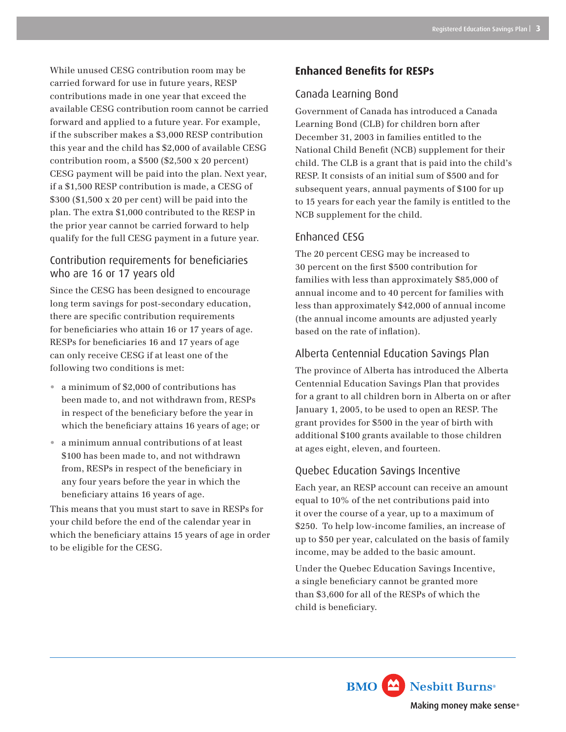While unused CESG contribution room may be carried forward for use in future years, RESP contributions made in one year that exceed the available CESG contribution room cannot be carried forward and applied to a future year. For example, if the subscriber makes a \$3,000 RESP contribution this year and the child has \$2,000 of available CESG contribution room, a \$500 (\$2,500 x 20 percent) CESG payment will be paid into the plan. Next year, if a \$1,500 RESP contribution is made, a CESG of \$300 (\$1,500 x 20 per cent) will be paid into the plan. The extra \$1,000 contributed to the RESP in the prior year cannot be carried forward to help qualify for the full CESG payment in a future year.

# Contribution requirements for beneficiaries who are 16 or 17 years old

Since the CESG has been designed to encourage long term savings for post-secondary education, there are specific contribution requirements for beneficiaries who attain 16 or 17 years of age. RESPs for beneficiaries 16 and 17 years of age can only receive CESG if at least one of the following two conditions is met:

- a minimum of \$2,000 of contributions has been made to, and not withdrawn from, RESPs in respect of the beneficiary before the year in which the beneficiary attains 16 years of age; or
- a minimum annual contributions of at least \$100 has been made to, and not withdrawn from, RESPs in respect of the beneficiary in any four years before the year in which the beneficiary attains 16 years of age.

This means that you must start to save in RESPs for your child before the end of the calendar year in which the beneficiary attains 15 years of age in order to be eligible for the CESG.

# **Enhanced Benefits for RESPs**

# Canada Learning Bond

Government of Canada has introduced a Canada Learning Bond (CLB) for children born after December 31, 2003 in families entitled to the National Child Benefit (NCB) supplement for their child. The CLB is a grant that is paid into the child's RESP. It consists of an initial sum of \$500 and for subsequent years, annual payments of \$100 for up to 15 years for each year the family is entitled to the NCB supplement for the child.

## Enhanced CESG

The 20 percent CESG may be increased to 30 percent on the first \$500 contribution for families with less than approximately \$85,000 of annual income and to 40 percent for families with less than approximately \$42,000 of annual income (the annual income amounts are adjusted yearly based on the rate of inflation).

# Alberta Centennial Education Savings Plan

The province of Alberta has introduced the Alberta Centennial Education Savings Plan that provides for a grant to all children born in Alberta on or after January 1, 2005, to be used to open an RESP. The grant provides for \$500 in the year of birth with additional \$100 grants available to those children at ages eight, eleven, and fourteen.

## Quebec Education Savings Incentive

Each year, an RESP account can receive an amount equal to 10% of the net contributions paid into it over the course of a year, up to a maximum of \$250. To help low-income families, an increase of up to \$50 per year, calculated on the basis of family income, may be added to the basic amount.

Under the Quebec Education Savings Incentive, a single beneficiary cannot be granted more than \$3,600 for all of the RESPs of which the child is beneficiary.

> **BMO** Nesbitt Burns<sup>®</sup> Making money make sense®